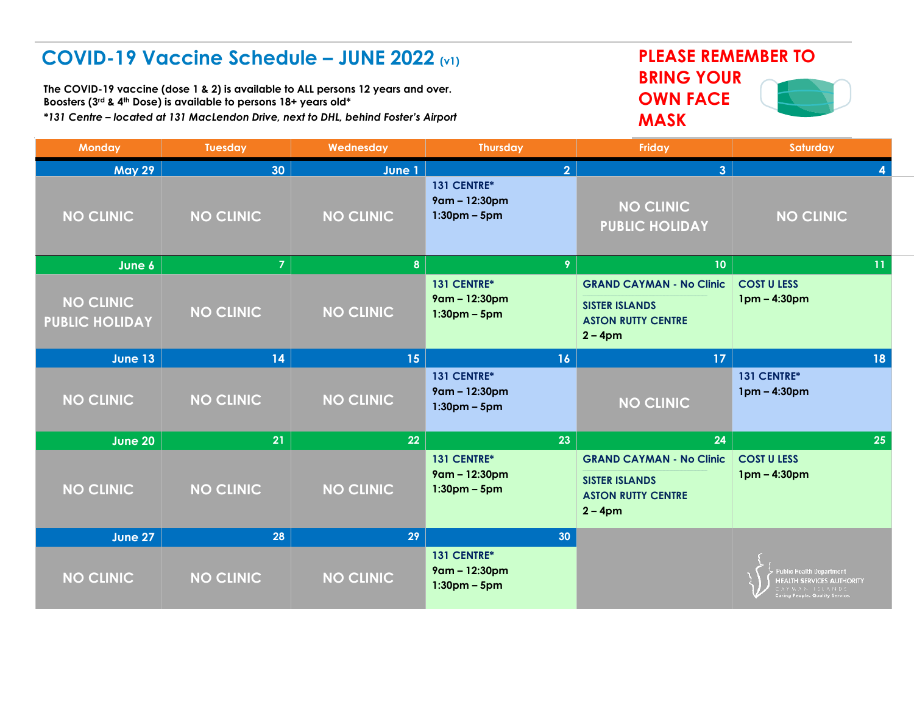## **COVID-19 Vaccine Schedule – JUNE 2022 (v1) PLEASE REMEMBER TO**

**The COVID-19 vaccine (dose 1 & 2) is available to ALL persons 12 years and over. Boosters (3rd & 4th Dose) is available to persons 18+ years old\*** *\*131 Centre – located at 131 MacLendon Drive, next to DHL, behind Foster's Airport*

## **BRING YOUR OWN FACE MASK**



| <b>Monday</b>                             | <b>Tuesday</b>   | Wednesday        | <b>Thursday</b>                                | Friday                                                                                              | Saturday                                                                                                      |
|-------------------------------------------|------------------|------------------|------------------------------------------------|-----------------------------------------------------------------------------------------------------|---------------------------------------------------------------------------------------------------------------|
| <b>May 29</b>                             | 30               | June 1           | $\overline{2}$                                 | 3 <sup>1</sup>                                                                                      |                                                                                                               |
| <b>NO CLINIC</b>                          | <b>NO CLINIC</b> | <b>NO CLINIC</b> | 131 CENTRE*<br>9am - 12:30pm<br>$1:30pm - 5pm$ | <b>NO CLINIC</b><br><b>PUBLIC HOLIDAY</b>                                                           | <b>NO CLINIC</b>                                                                                              |
| June $6$                                  | $\overline{7}$   | 8 <sup>°</sup>   | 9                                              | 10 <sub>1</sub>                                                                                     | 11                                                                                                            |
| <b>NO CLINIC</b><br><b>PUBLIC HOLIDAY</b> | <b>NO CLINIC</b> | <b>NO CLINIC</b> | 131 CENTRE*<br>9am - 12:30pm<br>$1:30pm - 5pm$ | <b>GRAND CAYMAN - No Clinic</b><br><b>SISTER ISLANDS</b><br><b>ASTON RUTTY CENTRE</b><br>$2 - 4pm$  | <b>COST U LESS</b><br>$1pm - 4:30pm$                                                                          |
| <b>June 13</b>                            | 14               | 15 <sup>°</sup>  | 16                                             | 17 <sup>2</sup>                                                                                     | 18                                                                                                            |
| <b>NO CLINIC</b>                          | <b>NO CLINIC</b> | <b>NO CLINIC</b> | 131 CENTRE*<br>9am - 12:30pm<br>$1:30pm - 5pm$ | <b>NO CLINIC</b>                                                                                    | 131 CENTRE*<br>1pm - 4:30pm                                                                                   |
| <b>June 20</b>                            | 21               | 22               | 23                                             | 24                                                                                                  | 25                                                                                                            |
| <b>NO CLINIC</b>                          | <b>NO CLINIC</b> | <b>NO CLINIC</b> | 131 CENTRE*<br>9am - 12:30pm<br>$1:30pm - 5pm$ | <b>GRAND CAYMAN - No Clinic</b><br><b>SISTER ISLANDS</b><br><b>ASTON RUTTY CENTRE</b><br>$2 - 4$ pm | <b>COST U LESS</b><br>$1pm - 4:30pm$                                                                          |
| June 27                                   | 28               | 29               | 30                                             |                                                                                                     |                                                                                                               |
| <b>NO CLINIC</b>                          | <b>NO CLINIC</b> | <b>NO CLINIC</b> | 131 CENTRE*<br>9am - 12:30pm<br>$1:30pm - 5pm$ |                                                                                                     | ublic Health Department<br><b>HEALTH SERVICES AUTHORITY</b><br>YMAN ISLANDS<br>aring People. Quality Service. |